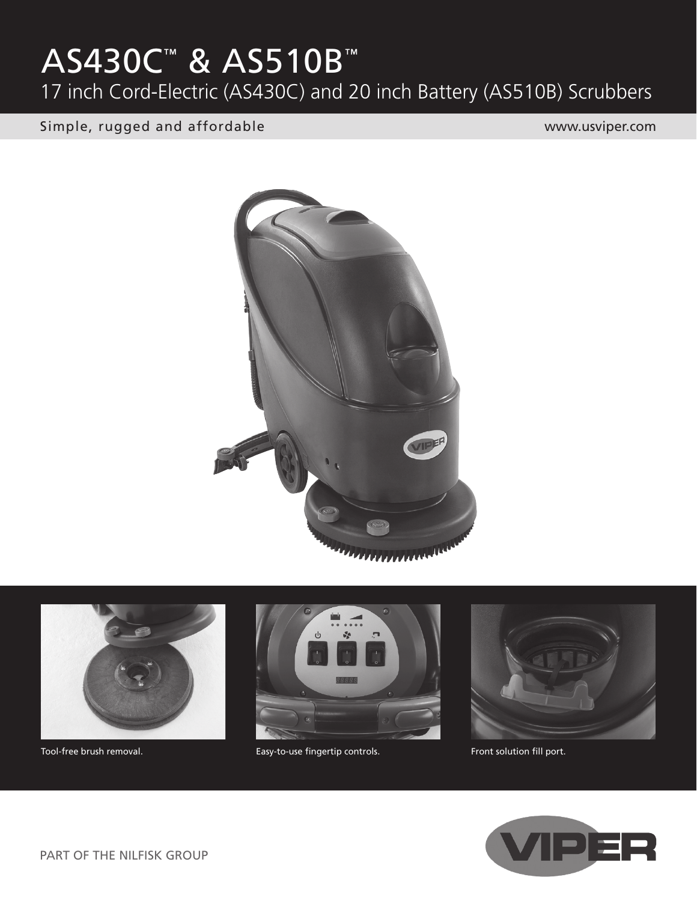# AS430C™ & AS510B™

17 inch Cord-Electric (AS430C) and 20 inch Battery (AS510B) Scrubbers

Simple, rugged and affordable www.usviper.com







Tool-free brush removal. Tool-free brush removal. Easy-to-use fingertip controls. The example of the solution fill port.